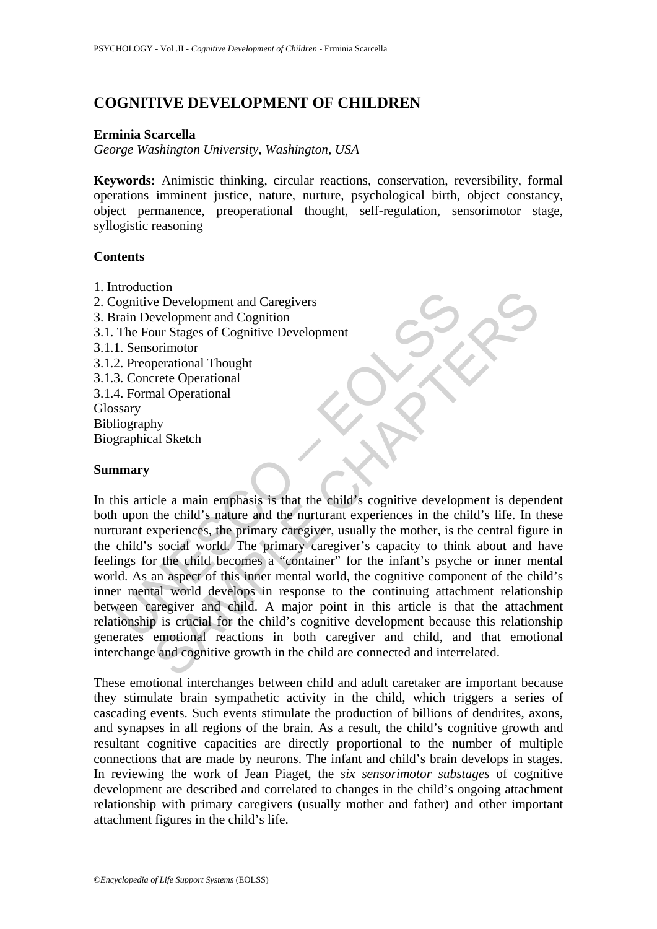# **COGNITIVE DEVELOPMENT OF CHILDREN**

### **Erminia Scarcella**

*George Washington University, Washington, USA* 

**Keywords:** Animistic thinking, circular reactions, conservation, reversibility, formal operations imminent justice, nature, nurture, psychological birth, object constancy, object permanence, preoperational thought, self-regulation, sensorimotor stage, syllogistic reasoning

### **Contents**

- 1. Introduction
- 2. Cognitive Development and Caregivers 3. Brain Development and Cognition 3.1. The Four Stages of Cognitive Development 3.1.1. Sensorimotor 3.1.2. Preoperational Thought 3.1.3. Concrete Operational 3.1.4. Formal Operational Glossary Bibliography Biographical Sketch

# **Summary**

Consideration<br>
Considered Development and Caregivers<br>
Train Development and Cognition<br>
The Four Stages of Cognitive Development<br>
1. Sensorimotor<br>
2. Preoperational Thought<br>
3. Concrete Operational<br>
4. Formal Operational<br>
4 From the child state and Cognitive Development<br>
e Development and Cognition<br>
or Stages of Cognitive Development<br>
perational Thought<br>
perational Thought<br>
rete Operational<br>
hy<br>
al Sketch<br>
the child's nature and the nurturant In this article a main emphasis is that the child's cognitive development is dependent both upon the child's nature and the nurturant experiences in the child's life. In these nurturant experiences, the primary caregiver, usually the mother, is the central figure in the child's social world. The primary caregiver's capacity to think about and have feelings for the child becomes a "container" for the infant's psyche or inner mental world. As an aspect of this inner mental world, the cognitive component of the child's inner mental world develops in response to the continuing attachment relationship between caregiver and child. A major point in this article is that the attachment relationship is crucial for the child's cognitive development because this relationship generates emotional reactions in both caregiver and child, and that emotional interchange and cognitive growth in the child are connected and interrelated.

These emotional interchanges between child and adult caretaker are important because they stimulate brain sympathetic activity in the child, which triggers a series of cascading events. Such events stimulate the production of billions of dendrites, axons, and synapses in all regions of the brain. As a result, the child's cognitive growth and resultant cognitive capacities are directly proportional to the number of multiple connections that are made by neurons. The infant and child's brain develops in stages. In reviewing the work of Jean Piaget, the *six sensorimotor substages* of cognitive development are described and correlated to changes in the child's ongoing attachment relationship with primary caregivers (usually mother and father) and other important attachment figures in the child's life.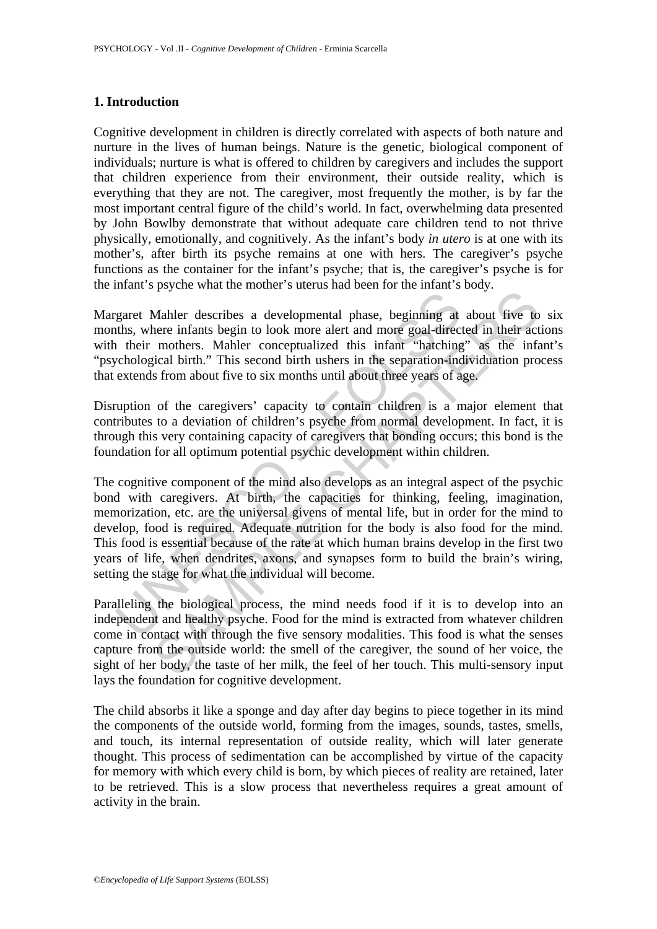# **1. Introduction**

Cognitive development in children is directly correlated with aspects of both nature and nurture in the lives of human beings. Nature is the genetic, biological component of individuals; nurture is what is offered to children by caregivers and includes the support that children experience from their environment, their outside reality, which is everything that they are not. The caregiver, most frequently the mother, is by far the most important central figure of the child's world. In fact, overwhelming data presented by John Bowlby demonstrate that without adequate care children tend to not thrive physically, emotionally, and cognitively. As the infant's body *in utero* is at one with its mother's, after birth its psyche remains at one with hers. The caregiver's psyche functions as the container for the infant's psyche; that is, the caregiver's psyche is for the infant's psyche what the mother's uterus had been for the infant's body.

Margaret Mahler describes a developmental phase, beginning at about five to six months, where infants begin to look more alert and more goal-directed in their actions with their mothers. Mahler conceptualized this infant "hatching" as the infant's "psychological birth." This second birth ushers in the separation-individuation process that extends from about five to six months until about three years of age.

Disruption of the caregivers' capacity to contain children is a major element that contributes to a deviation of children's psyche from normal development. In fact, it is through this very containing capacity of caregivers that bonding occurs; this bond is the foundation for all optimum potential psychic development within children.

right Maller describes a developmental phase, beginning at that, more in their mothers. Mahler cocological biris infant "hackning chological birin." This second birth ushers in the separatio-indepecteological birin." This For describes a developmental phase, beginning at about five to<br>the methanism beneficated in the methanism of the methanism of the methanism of the methanism of the methanism of since and the methanism of stromation about The cognitive component of the mind also develops as an integral aspect of the psychic bond with caregivers. At birth, the capacities for thinking, feeling, imagination, memorization, etc. are the universal givens of mental life, but in order for the mind to develop, food is required. Adequate nutrition for the body is also food for the mind. This food is essential because of the rate at which human brains develop in the first two years of life, when dendrites, axons, and synapses form to build the brain's wiring, setting the stage for what the individual will become.

Paralleling the biological process, the mind needs food if it is to develop into an independent and healthy psyche. Food for the mind is extracted from whatever children come in contact with through the five sensory modalities. This food is what the senses capture from the outside world: the smell of the caregiver, the sound of her voice, the sight of her body, the taste of her milk, the feel of her touch. This multi-sensory input lays the foundation for cognitive development.

The child absorbs it like a sponge and day after day begins to piece together in its mind the components of the outside world, forming from the images, sounds, tastes, smells, and touch, its internal representation of outside reality, which will later generate thought. This process of sedimentation can be accomplished by virtue of the capacity for memory with which every child is born, by which pieces of reality are retained, later to be retrieved. This is a slow process that nevertheless requires a great amount of activity in the brain.